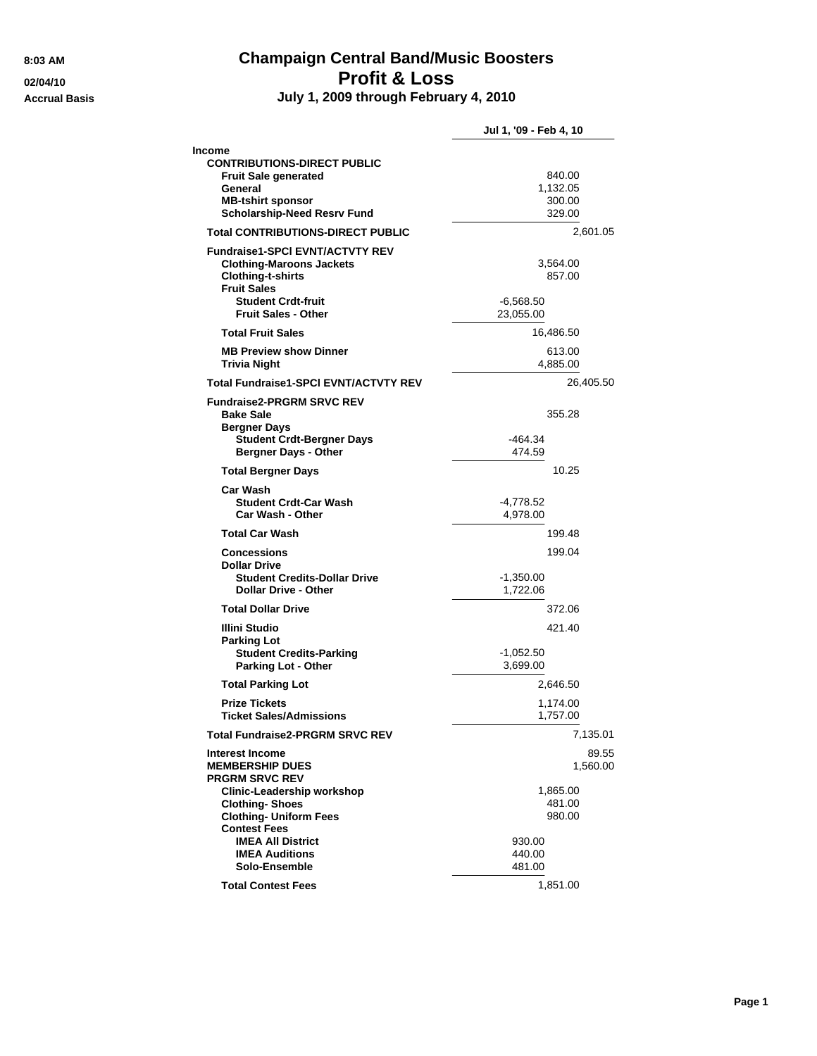# **8:03 AM Champaign Central Band/Music Boosters 02/04/10 Profit & Loss**

**Accrual Basis July 1, 2009 through February 4, 2010**

|                                                                                                                                                          | Jul 1, '09 - Feb 4, 10            |
|----------------------------------------------------------------------------------------------------------------------------------------------------------|-----------------------------------|
| Income                                                                                                                                                   |                                   |
| <b>CONTRIBUTIONS-DIRECT PUBLIC</b>                                                                                                                       |                                   |
| <b>Fruit Sale generated</b><br>General                                                                                                                   | 840.00<br>1,132.05                |
| <b>MB-tshirt sponsor</b>                                                                                                                                 | 300.00                            |
| <b>Scholarship-Need Resrv Fund</b>                                                                                                                       | 329.00                            |
| <b>Total CONTRIBUTIONS-DIRECT PUBLIC</b>                                                                                                                 | 2,601.05                          |
| <b>Fundraise1-SPCI EVNT/ACTVTY REV</b><br><b>Clothing-Maroons Jackets</b><br><b>Clothing-t-shirts</b><br><b>Fruit Sales</b><br><b>Student Crdt-fruit</b> | 3,564.00<br>857.00<br>$-6,568.50$ |
| <b>Fruit Sales - Other</b>                                                                                                                               | 23,055.00                         |
| <b>Total Fruit Sales</b>                                                                                                                                 | 16,486.50                         |
| <b>MB Preview show Dinner</b><br>Trivia Night                                                                                                            | 613.00<br>4,885.00                |
| <b>Total Fundraise1-SPCI EVNT/ACTVTY REV</b>                                                                                                             | 26,405.50                         |
| <b>Fundraise2-PRGRM SRVC REV</b>                                                                                                                         |                                   |
| <b>Bake Sale</b><br><b>Bergner Days</b>                                                                                                                  | 355.28                            |
| <b>Student Crdt-Bergner Days</b><br><b>Bergner Days - Other</b>                                                                                          | $-464.34$<br>474.59               |
| <b>Total Bergner Days</b>                                                                                                                                | 10.25                             |
| Car Wash<br><b>Student Crdt-Car Wash</b><br>Car Wash - Other                                                                                             | -4,778.52<br>4,978.00             |
| <b>Total Car Wash</b>                                                                                                                                    | 199.48                            |
| <b>Concessions</b><br><b>Dollar Drive</b>                                                                                                                | 199.04                            |
| <b>Student Credits-Dollar Drive</b><br><b>Dollar Drive - Other</b>                                                                                       | -1,350.00<br>1,722.06             |
| <b>Total Dollar Drive</b>                                                                                                                                | 372.06                            |
| Illini Studio                                                                                                                                            | 421.40                            |
| <b>Parking Lot</b><br><b>Student Credits-Parking</b><br><b>Parking Lot - Other</b>                                                                       | $-1,052.50$<br>3,699.00           |
| <b>Total Parking Lot</b>                                                                                                                                 | 2.646.50                          |
| <b>Prize Tickets</b><br><b>Ticket Sales/Admissions</b>                                                                                                   | 1,174.00<br>1,757.00              |
| <b>Total Fundraise2-PRGRM SRVC REV</b>                                                                                                                   | 7,135.01                          |
| <b>Interest Income</b><br><b>MEMBERSHIP DUES</b><br><b>PRGRM SRVC REV</b>                                                                                | 89.55<br>1,560.00                 |
| <b>Clinic-Leadership workshop</b>                                                                                                                        | 1,865.00                          |
| <b>Clothing-Shoes</b><br><b>Clothing- Uniform Fees</b><br><b>Contest Fees</b>                                                                            | 481.00<br>980.00                  |
| <b>IMEA All District</b>                                                                                                                                 | 930.00                            |
| <b>IMEA Auditions</b>                                                                                                                                    | 440.00                            |
| Solo-Ensemble                                                                                                                                            | 481.00                            |
| <b>Total Contest Fees</b>                                                                                                                                | 1,851.00                          |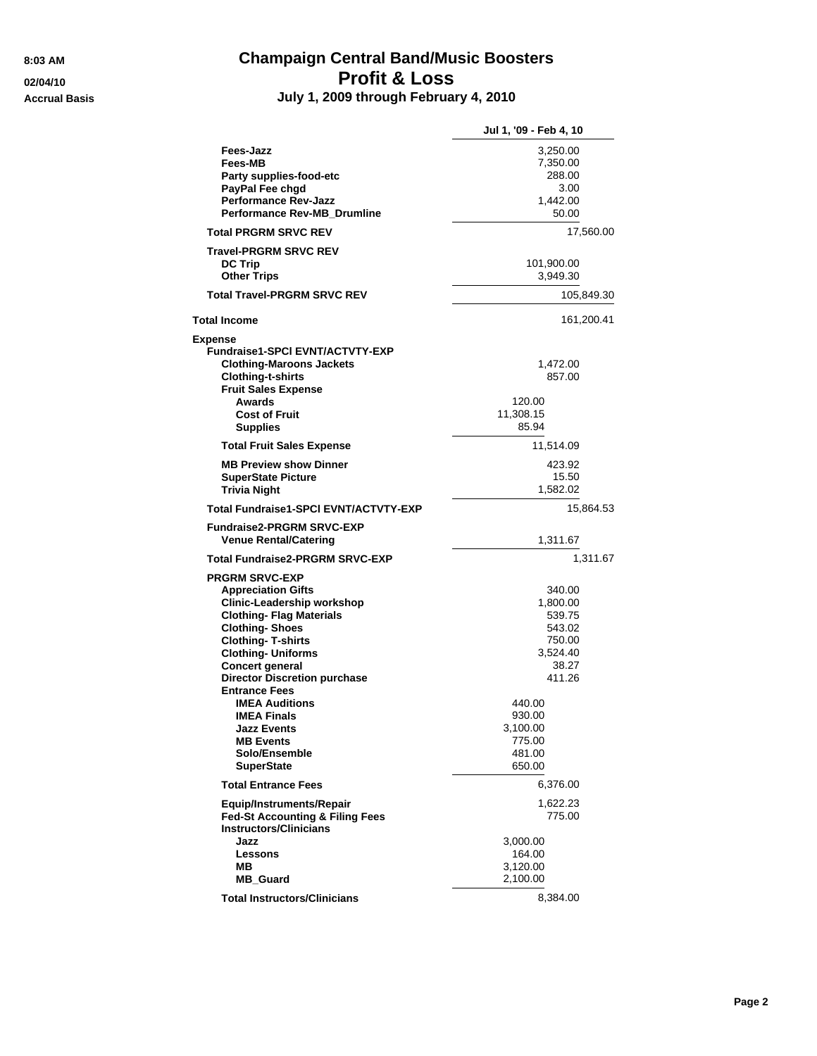## **8:03 AM Champaign Central Band/Music Boosters 02/04/10 Profit & Loss Accrual Basis July 1, 2009 through February 4, 2010**

|                                                             | Jul 1, '09 - Feb 4, 10 |
|-------------------------------------------------------------|------------------------|
| <b>Fees-Jazz</b><br>Fees-MB                                 | 3,250.00<br>7,350.00   |
| Party supplies-food-etc                                     | 288.00                 |
| PayPal Fee chgd                                             | 3.00                   |
| <b>Performance Rev-Jazz</b>                                 | 1,442.00               |
| <b>Performance Rev-MB Drumline</b>                          | 50.00                  |
| <b>Total PRGRM SRVC REV</b>                                 | 17,560.00              |
| <b>Travel-PRGRM SRVC REV</b>                                |                        |
| <b>DC Trip</b>                                              | 101,900.00             |
| <b>Other Trips</b>                                          | 3,949.30               |
| <b>Total Travel-PRGRM SRVC REV</b>                          | 105,849.30             |
| <b>Total Income</b>                                         | 161,200.41             |
| <b>Expense</b>                                              |                        |
| <b>Fundraise1-SPCI EVNT/ACTVTY-EXP</b>                      |                        |
| <b>Clothing-Maroons Jackets</b>                             | 1,472.00               |
| <b>Clothing-t-shirts</b>                                    | 857.00                 |
| <b>Fruit Sales Expense</b>                                  |                        |
| <b>Awards</b>                                               | 120.00                 |
| <b>Cost of Fruit</b>                                        | 11,308.15              |
| <b>Supplies</b>                                             | 85.94                  |
| <b>Total Fruit Sales Expense</b>                            | 11,514.09              |
| <b>MB Preview show Dinner</b>                               | 423.92                 |
| <b>SuperState Picture</b>                                   | 15.50                  |
| <b>Trivia Night</b>                                         | 1,582.02               |
| <b>Total Fundraise1-SPCI EVNT/ACTVTY-EXP</b>                | 15.864.53              |
| <b>Fundraise2-PRGRM SRVC-EXP</b>                            |                        |
| <b>Venue Rental/Catering</b>                                | 1,311.67               |
| <b>Total Fundraise2-PRGRM SRVC-EXP</b>                      | 1,311.67               |
| <b>PRGRM SRVC-EXP</b>                                       |                        |
| <b>Appreciation Gifts</b>                                   | 340.00                 |
| Clinic-Leadership workshop                                  | 1,800.00               |
| <b>Clothing- Flag Materials</b>                             | 539.75                 |
| <b>Clothing-Shoes</b>                                       | 543.02                 |
| <b>Clothing-T-shirts</b>                                    | 750.00                 |
| <b>Clothing- Uniforms</b>                                   | 3,524.40               |
| Concert general                                             | 38.27                  |
| <b>Director Discretion purchase</b><br><b>Entrance Fees</b> | 411.26                 |
| <b>IMEA Auditions</b>                                       | 440.00                 |
| <b>IMEA Finals</b>                                          | 930.00                 |
| <b>Jazz Events</b>                                          | 3,100.00               |
| <b>MB Events</b>                                            | 775.00                 |
| Solo/Ensemble                                               | 481.00                 |
| SuperState                                                  | 650.00                 |
| <b>Total Entrance Fees</b>                                  | 6,376.00               |
| Equip/Instruments/Repair                                    | 1,622.23               |
| <b>Fed-St Accounting &amp; Filing Fees</b>                  | 775.00                 |
| <b>Instructors/Clinicians</b>                               |                        |
| Jazz                                                        | 3,000.00               |
| Lessons                                                     | 164.00                 |
| ΜВ                                                          | 3,120.00               |
| <b>MB Guard</b>                                             | 2,100.00               |
| <b>Total Instructors/Clinicians</b>                         | 8,384.00               |
|                                                             |                        |